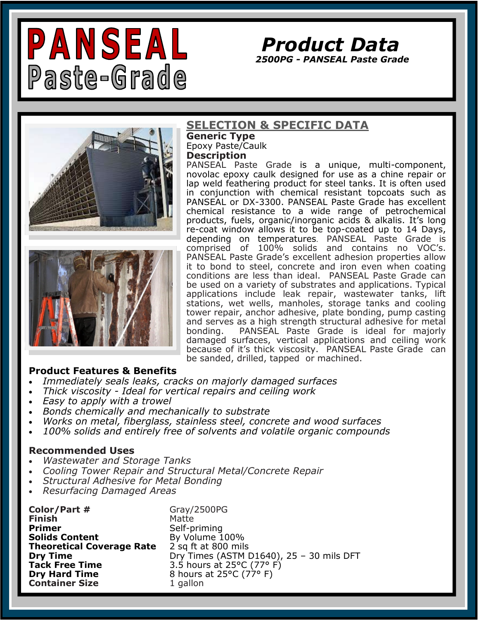

*Product Data* 

*2500PG - PANSEAL Paste Grade* 





### **SELECTION & SPECIFIC DATA**

**Generic Type**  Epoxy Paste/Caulk **Description**

PANSEAL Paste Grade is a unique, multi-component, novolac epoxy caulk designed for use as a chine repair or lap weld feathering product for steel tanks. It is often used in conjunction with chemical resistant topcoats such as PANSEAL or DX-3300. PANSEAL Paste Grade has excellent chemical resistance to a wide range of petrochemical products, fuels, organic/inorganic acids & alkalis. It's long re-coat window allows it to be top-coated up to 14 Days, depending on temperatures. PANSEAL Paste Grade is comprised of 100% solids and contains no VOC's. PANSEAL Paste Grade's excellent adhesion properties allow it to bond to steel, concrete and iron even when coating conditions are less than ideal. PANSEAL Paste Grade can be used on a variety of substrates and applications. Typical applications include leak repair, wastewater tanks, lift stations, wet wells, manholes, storage tanks and cooling tower repair, anchor adhesive, plate bonding, pump casting and serves as a high strength structural adhesive for metal bonding. PANSEAL Paste Grade is ideal for majorly damaged surfaces, vertical applications and ceiling work because of it's thick viscosity. PANSEAL Paste Grade can be sanded, drilled, tapped or machined.

### **Product Features & Benefits**

- *Immediately seals leaks, cracks on majorly damaged surfaces*
- *Thick viscosity - Ideal for vertical repairs and ceiling work*
- *Easy to apply with a trowel*
- *Bonds chemically and mechanically to substrate*
- *Works on metal, fiberglass, stainless steel, concrete and wood surfaces*
- *100% solids and entirely free of solvents and volatile organic compounds*

### **Recommended Uses**

- *Wastewater and Storage Tanks*
- *Cooling Tower Repair and Structural Metal/Concrete Repair*
- *Structural Adhesive for Metal Bonding*
- *Resurfacing Damaged Areas*

**Color/Part #** Gray/2500PG **Finish** Matte **Primer** Self-priming **Theoretical Coverage Rate** 2 sq ft at 800 mils **Dry Hard Time** 8 hours at 25°C (77° F) **Container Size** 1 gallon

By Volume 100% **Dry Time** Dry Times (ASTM D1640), 25 – 30 mils DFT **Tack Free Time** 3.5 hours at 25°C (77° F)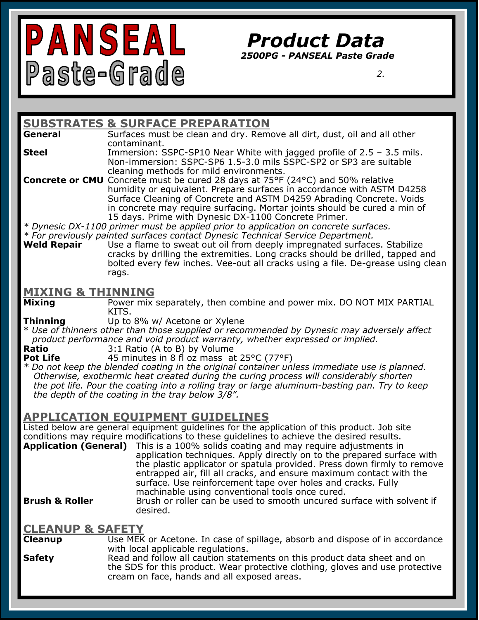

## *Product Data*

*2500PG - PANSEAL Paste Grade* 

 *2.*

#### **SUBSTRATES & SURFACE PREPARATION**<br>**General** Surfaces must be clean and drv. Rem **General** Surfaces must be clean and dry. Remove all dirt, dust, oil and all other contaminant. **Steel** Immersion: SSPC-SP10 Near White with jagged profile of 2.5 – 3.5 mils. Non-immersion: SSPC-SP6 1.5-3.0 mils SSPC-SP2 or SP3 are suitable cleaning methods for mild environments. **Concrete or CMU** Concrete must be cured 28 days at 75°F (24°C) and 50% relative humidity or equivalent. Prepare surfaces in accordance with ASTM D4258 Surface Cleaning of Concrete and ASTM D4259 Abrading Concrete. Voids in concrete may require surfacing. Mortar joints should be cured a min of 15 days. Prime with Dynesic DX-1100 Concrete Primer. *\* Dynesic DX-1100 primer must be applied prior to application on concrete surfaces. \* For previously painted surfaces contact Dynesic Technical Service Department.*  Use a flame to sweat out oil from deeply impregnated surfaces. Stabilize cracks by drilling the extremities. Long cracks should be drilled, tapped and bolted every few inches. Vee-out all cracks using a file. De-grease using clean rags. **MIXING & THINNING Mixing** Power mix separately, then combine and power mix. DO NOT MIX PARTIAL KITS. **Thinning** Up to 8% w/ Acetone or Xylene \* *Use of thinners other than those supplied or recommended by Dynesic may adversely affect product performance and void product warranty, whether expressed or implied.*  **Ratio** 3:1 Ratio (A to B) by Volume **Pot Life** 45 minutes in 8 fl oz mass at 25°C (77°F) *\* Do not keep the blended coating in the original container unless immediate use is planned. Otherwise, exothermic heat created during the curing process will considerably shorten the pot life. Pour the coating into a rolling tray or large aluminum-basting pan. Try to keep the depth of the coating in the tray below 3/8".*  **APPLICATION EQUIPMENT GUIDELINES** Listed below are general equipment guidelines for the application of this product. Job site conditions may require modifications to these guidelines to achieve the desired results. **Application (General)** This is a 100% solids coating and may require adjustments in application techniques. Apply directly on to the prepared surface with the plastic applicator or spatula provided. Press down firmly to remove entrapped air, fill all cracks, and ensure maximum contact with the surface. Use reinforcement tape over holes and cracks. Fully machinable using conventional tools once cured. **Brush & Roller Brush or roller can be used to smooth uncured surface with solvent if** desired. **CLEANUP & SAFETY Cleanup** Use MEK or Acetone. In case of spillage, absorb and dispose of in accordance with local applicable regulations. **Safety** Read and follow all caution statements on this product data sheet and on the SDS for this product. Wear protective clothing, gloves and use protective

cream on face, hands and all exposed areas.